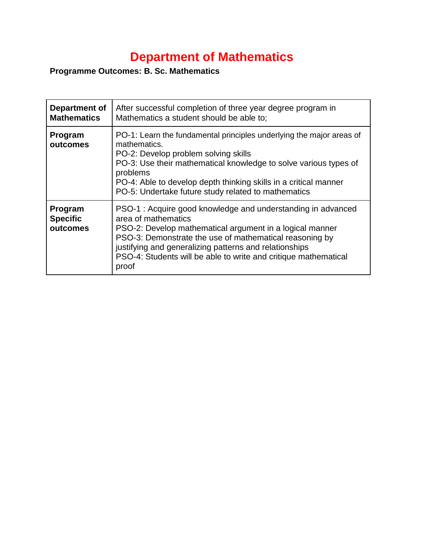## **Department of Mathematics**

## **Programme Outcomes: B. Sc. Mathematics**

| Department of<br><b>Mathematics</b>    | After successful completion of three year degree program in<br>Mathematics a student should be able to:                                                                                                                                                                                                                                         |
|----------------------------------------|-------------------------------------------------------------------------------------------------------------------------------------------------------------------------------------------------------------------------------------------------------------------------------------------------------------------------------------------------|
| Program<br>outcomes                    | PO-1: Learn the fundamental principles underlying the major areas of<br>mathematics.<br>PO-2: Develop problem solving skills<br>PO-3: Use their mathematical knowledge to solve various types of<br>problems<br>PO-4: Able to develop depth thinking skills in a critical manner<br>PO-5: Undertake future study related to mathematics         |
| Program<br><b>Specific</b><br>outcomes | PSO-1: Acquire good knowledge and understanding in advanced<br>area of mathematics<br>PSO-2: Develop mathematical argument in a logical manner<br>PSO-3: Demonstrate the use of mathematical reasoning by<br>justifying and generalizing patterns and relationships<br>PSO-4: Students will be able to write and critique mathematical<br>proof |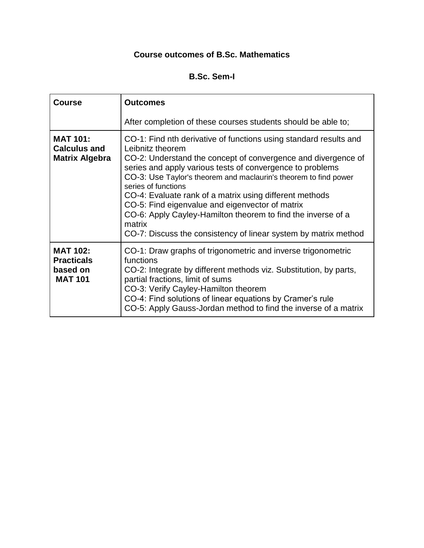## **Course outcomes of B.Sc. Mathematics**

## **B.Sc. Sem-I**

| <b>Course</b>                                                      | <b>Outcomes</b>                                                                                                                                                                                                                                                                                                                                                                                                                                                                                                                                                           |
|--------------------------------------------------------------------|---------------------------------------------------------------------------------------------------------------------------------------------------------------------------------------------------------------------------------------------------------------------------------------------------------------------------------------------------------------------------------------------------------------------------------------------------------------------------------------------------------------------------------------------------------------------------|
|                                                                    | After completion of these courses students should be able to;                                                                                                                                                                                                                                                                                                                                                                                                                                                                                                             |
| <b>MAT 101:</b><br><b>Calculus and</b><br><b>Matrix Algebra</b>    | CO-1: Find nth derivative of functions using standard results and<br>Leibnitz theorem<br>CO-2: Understand the concept of convergence and divergence of<br>series and apply various tests of convergence to problems<br>CO-3: Use Taylor's theorem and maclaurin's theorem to find power<br>series of functions<br>CO-4: Evaluate rank of a matrix using different methods<br>CO-5: Find eigenvalue and eigenvector of matrix<br>CO-6: Apply Cayley-Hamilton theorem to find the inverse of a<br>matrix<br>CO-7: Discuss the consistency of linear system by matrix method |
| <b>MAT 102:</b><br><b>Practicals</b><br>based on<br><b>MAT 101</b> | CO-1: Draw graphs of trigonometric and inverse trigonometric<br>functions<br>CO-2: Integrate by different methods viz. Substitution, by parts,<br>partial fractions, limit of sums<br>CO-3: Verify Cayley-Hamilton theorem<br>CO-4: Find solutions of linear equations by Cramer's rule<br>CO-5: Apply Gauss-Jordan method to find the inverse of a matrix                                                                                                                                                                                                                |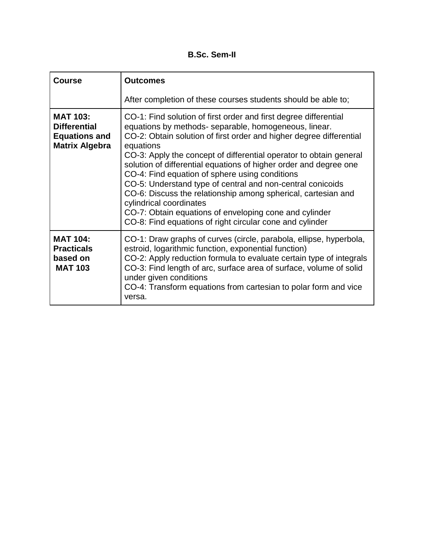**B.Sc. Sem-II**

| <b>Course</b>                                                                           | <b>Outcomes</b>                                                                                                                                                                                                                                                                                                                                                                                                                                                                                                                                                                                                                                                                            |
|-----------------------------------------------------------------------------------------|--------------------------------------------------------------------------------------------------------------------------------------------------------------------------------------------------------------------------------------------------------------------------------------------------------------------------------------------------------------------------------------------------------------------------------------------------------------------------------------------------------------------------------------------------------------------------------------------------------------------------------------------------------------------------------------------|
|                                                                                         | After completion of these courses students should be able to;                                                                                                                                                                                                                                                                                                                                                                                                                                                                                                                                                                                                                              |
| <b>MAT 103:</b><br><b>Differential</b><br><b>Equations and</b><br><b>Matrix Algebra</b> | CO-1: Find solution of first order and first degree differential<br>equations by methods- separable, homogeneous, linear.<br>CO-2: Obtain solution of first order and higher degree differential<br>equations<br>CO-3: Apply the concept of differential operator to obtain general<br>solution of differential equations of higher order and degree one<br>CO-4: Find equation of sphere using conditions<br>CO-5: Understand type of central and non-central conicoids<br>CO-6: Discuss the relationship among spherical, cartesian and<br>cylindrical coordinates<br>CO-7: Obtain equations of enveloping cone and cylinder<br>CO-8: Find equations of right circular cone and cylinder |
| <b>MAT 104:</b><br><b>Practicals</b><br>based on<br><b>MAT 103</b>                      | CO-1: Draw graphs of curves (circle, parabola, ellipse, hyperbola,<br>estroid, logarithmic function, exponential function)<br>CO-2: Apply reduction formula to evaluate certain type of integrals<br>CO-3: Find length of arc, surface area of surface, volume of solid<br>under given conditions<br>CO-4: Transform equations from cartesian to polar form and vice<br>versa.                                                                                                                                                                                                                                                                                                             |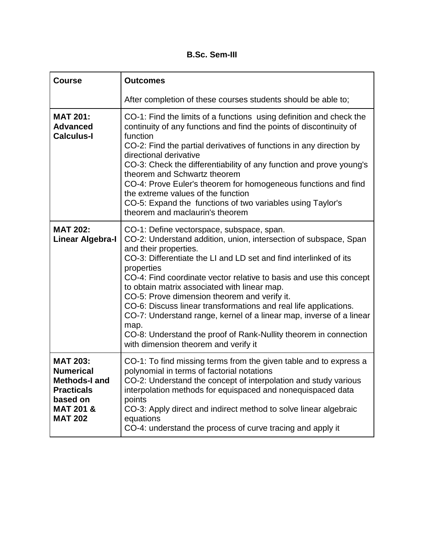**B.Sc. Sem-III**

| <b>Course</b>                                                                                                                          | <b>Outcomes</b>                                                                                                                                                                                                                                                                                                                                                                                                                                                                                                                                                                                                                                                 |
|----------------------------------------------------------------------------------------------------------------------------------------|-----------------------------------------------------------------------------------------------------------------------------------------------------------------------------------------------------------------------------------------------------------------------------------------------------------------------------------------------------------------------------------------------------------------------------------------------------------------------------------------------------------------------------------------------------------------------------------------------------------------------------------------------------------------|
|                                                                                                                                        | After completion of these courses students should be able to;                                                                                                                                                                                                                                                                                                                                                                                                                                                                                                                                                                                                   |
| <b>MAT 201:</b><br><b>Advanced</b><br><b>Calculus-I</b>                                                                                | CO-1: Find the limits of a functions using definition and check the<br>continuity of any functions and find the points of discontinuity of<br>function<br>CO-2: Find the partial derivatives of functions in any direction by<br>directional derivative<br>CO-3: Check the differentiability of any function and prove young's<br>theorem and Schwartz theorem<br>CO-4: Prove Euler's theorem for homogeneous functions and find<br>the extreme values of the function<br>CO-5: Expand the functions of two variables using Taylor's<br>theorem and maclaurin's theorem                                                                                         |
| <b>MAT 202:</b><br><b>Linear Algebra-I</b>                                                                                             | CO-1: Define vectorspace, subspace, span.<br>CO-2: Understand addition, union, intersection of subspace, Span<br>and their properties.<br>CO-3: Differentiate the LI and LD set and find interlinked of its<br>properties<br>CO-4: Find coordinate vector relative to basis and use this concept<br>to obtain matrix associated with linear map.<br>CO-5: Prove dimension theorem and verify it.<br>CO-6: Discuss linear transformations and real life applications.<br>CO-7: Understand range, kernel of a linear map, inverse of a linear<br>map.<br>CO-8: Understand the proof of Rank-Nullity theorem in connection<br>with dimension theorem and verify it |
| <b>MAT 203:</b><br><b>Numerical</b><br><b>Methods-I and</b><br><b>Practicals</b><br>based on<br><b>MAT 201 &amp;</b><br><b>MAT 202</b> | CO-1: To find missing terms from the given table and to express a<br>polynomial in terms of factorial notations<br>CO-2: Understand the concept of interpolation and study various<br>interpolation methods for equispaced and nonequispaced data<br>points<br>CO-3: Apply direct and indirect method to solve linear algebraic<br>equations<br>CO-4: understand the process of curve tracing and apply it                                                                                                                                                                                                                                                      |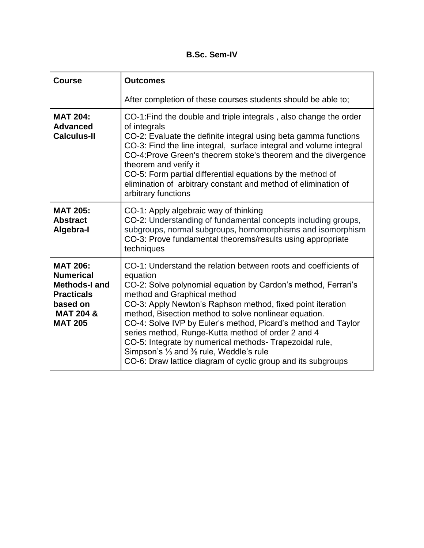**B.Sc. Sem-IV**

| <b>Course</b>                                                                                                                          | <b>Outcomes</b>                                                                                                                                                                                                                                                                                                                                                                                                                                                                                                                                                                                   |
|----------------------------------------------------------------------------------------------------------------------------------------|---------------------------------------------------------------------------------------------------------------------------------------------------------------------------------------------------------------------------------------------------------------------------------------------------------------------------------------------------------------------------------------------------------------------------------------------------------------------------------------------------------------------------------------------------------------------------------------------------|
|                                                                                                                                        | After completion of these courses students should be able to;                                                                                                                                                                                                                                                                                                                                                                                                                                                                                                                                     |
| <b>MAT 204:</b><br><b>Advanced</b><br><b>Calculus-II</b>                                                                               | CO-1: Find the double and triple integrals, also change the order<br>of integrals<br>CO-2: Evaluate the definite integral using beta gamma functions<br>CO-3: Find the line integral, surface integral and volume integral<br>CO-4: Prove Green's theorem stoke's theorem and the divergence<br>theorem and verify it<br>CO-5: Form partial differential equations by the method of<br>elimination of arbitrary constant and method of elimination of<br>arbitrary functions                                                                                                                      |
| <b>MAT 205:</b><br><b>Abstract</b><br>Algebra-I                                                                                        | CO-1: Apply algebraic way of thinking<br>CO-2: Understanding of fundamental concepts including groups,<br>subgroups, normal subgroups, homomorphisms and isomorphism<br>CO-3: Prove fundamental theorems/results using appropriate<br>techniques                                                                                                                                                                                                                                                                                                                                                  |
| <b>MAT 206:</b><br><b>Numerical</b><br><b>Methods-I and</b><br><b>Practicals</b><br>based on<br><b>MAT 204 &amp;</b><br><b>MAT 205</b> | CO-1: Understand the relation between roots and coefficients of<br>equation<br>CO-2: Solve polynomial equation by Cardon's method, Ferrari's<br>method and Graphical method<br>CO-3: Apply Newton's Raphson method, fixed point iteration<br>method, Bisection method to solve nonlinear equation.<br>CO-4: Solve IVP by Euler's method, Picard's method and Taylor<br>series method, Runge-Kutta method of order 2 and 4<br>CO-5: Integrate by numerical methods- Trapezoidal rule,<br>Simpson's 1/3 and 3/8 rule, Weddle's rule<br>CO-6: Draw lattice diagram of cyclic group and its subgroups |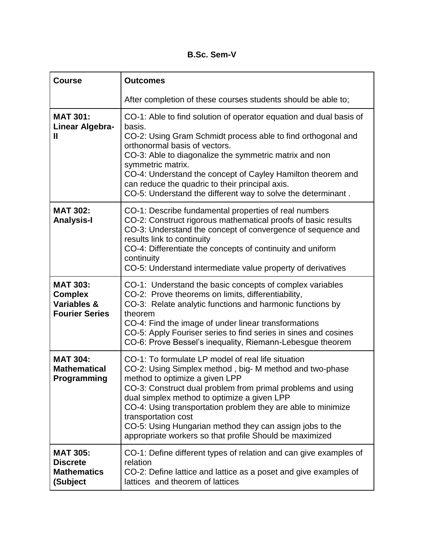**B.Sc. Sem-V**

| <b>Course</b>                                                                        | <b>Outcomes</b>                                                                                                                                                                                                                                                                                                                                                                                                                                                            |
|--------------------------------------------------------------------------------------|----------------------------------------------------------------------------------------------------------------------------------------------------------------------------------------------------------------------------------------------------------------------------------------------------------------------------------------------------------------------------------------------------------------------------------------------------------------------------|
|                                                                                      | After completion of these courses students should be able to;                                                                                                                                                                                                                                                                                                                                                                                                              |
| <b>MAT 301:</b><br>Linear Algebra-<br>Ш                                              | CO-1: Able to find solution of operator equation and dual basis of<br>basis.<br>CO-2: Using Gram Schmidt process able to find orthogonal and<br>orthonormal basis of vectors.<br>CO-3: Able to diagonalize the symmetric matrix and non<br>symmetric matrix.<br>CO-4: Understand the concept of Cayley Hamilton theorem and<br>can reduce the quadric to their principal axis.<br>CO-5: Understand the different way to solve the determinant.                             |
| <b>MAT 302:</b><br><b>Analysis-I</b>                                                 | CO-1: Describe fundamental properties of real numbers<br>CO-2: Construct rigorous mathematical proofs of basic results<br>CO-3: Understand the concept of convergence of sequence and<br>results link to continuity<br>CO-4: Differentiate the concepts of continuity and uniform<br>continuity<br>CO-5: Understand intermediate value property of derivatives                                                                                                             |
| <b>MAT 303:</b><br><b>Complex</b><br><b>Variables &amp;</b><br><b>Fourier Series</b> | CO-1: Understand the basic concepts of complex variables<br>CO-2: Prove theorems on limits, differentiability,<br>CO-3: Relate analytic functions and harmonic functions by<br>theorem<br>CO-4: Find the image of under linear transformations<br>CO-5: Apply Fouriser series to find series in sines and cosines<br>CO-6: Prove Bessel's inequality, Riemann-Lebesgue theorem                                                                                             |
| <b>MAT 304:</b><br><b>Mathematical</b><br>Programming                                | CO-1: To formulate LP model of real life situation<br>CO-2: Using Simplex method, big-M method and two-phase<br>method to optimize a given LPP<br>CO-3: Construct dual problem from primal problems and using<br>dual simplex method to optimize a given LPP<br>CO-4: Using transportation problem they are able to minimize<br>transportation cost<br>CO-5: Using Hungarian method they can assign jobs to the<br>appropriate workers so that profile Should be maximized |
| <b>MAT 305:</b><br><b>Discrete</b><br><b>Mathematics</b><br>(Subject                 | CO-1: Define different types of relation and can give examples of<br>relation<br>CO-2: Define lattice and lattice as a poset and give examples of<br>lattices and theorem of lattices                                                                                                                                                                                                                                                                                      |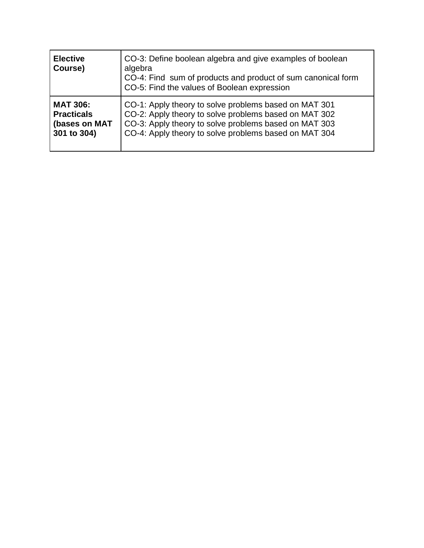| <b>Elective</b><br>Course) | CO-3: Define boolean algebra and give examples of boolean<br>algebra<br>CO-4: Find sum of products and product of sum canonical form<br>CO-5: Find the values of Boolean expression |
|----------------------------|-------------------------------------------------------------------------------------------------------------------------------------------------------------------------------------|
| <b>MAT 306:</b>            | CO-1: Apply theory to solve problems based on MAT 301                                                                                                                               |
| <b>Practicals</b>          | CO-2: Apply theory to solve problems based on MAT 302                                                                                                                               |
| (bases on MAT              | CO-3: Apply theory to solve problems based on MAT 303                                                                                                                               |
| 301 to 304)                | CO-4: Apply theory to solve problems based on MAT 304                                                                                                                               |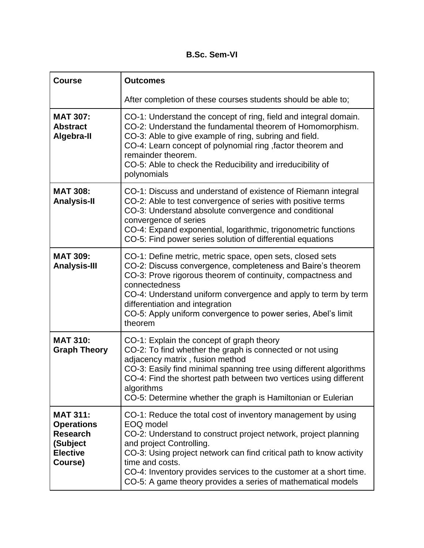**B.Sc. Sem-VI**

| <b>Course</b>                                                                                     | <b>Outcomes</b>                                                                                                                                                                                                                                                                                                                                                                                          |
|---------------------------------------------------------------------------------------------------|----------------------------------------------------------------------------------------------------------------------------------------------------------------------------------------------------------------------------------------------------------------------------------------------------------------------------------------------------------------------------------------------------------|
|                                                                                                   | After completion of these courses students should be able to;                                                                                                                                                                                                                                                                                                                                            |
| <b>MAT 307:</b><br><b>Abstract</b><br>Algebra-II                                                  | CO-1: Understand the concept of ring, field and integral domain.<br>CO-2: Understand the fundamental theorem of Homomorphism.<br>CO-3: Able to give example of ring, subring and field.<br>CO-4: Learn concept of polynomial ring, factor theorem and<br>remainder theorem.<br>CO-5: Able to check the Reducibility and irreducibility of<br>polynomials                                                 |
| <b>MAT 308:</b><br><b>Analysis-II</b>                                                             | CO-1: Discuss and understand of existence of Riemann integral<br>CO-2: Able to test convergence of series with positive terms<br>CO-3: Understand absolute convergence and conditional<br>convergence of series<br>CO-4: Expand exponential, logarithmic, trigonometric functions<br>CO-5: Find power series solution of differential equations                                                          |
| <b>MAT 309:</b><br><b>Analysis-III</b>                                                            | CO-1: Define metric, metric space, open sets, closed sets<br>CO-2: Discuss convergence, completeness and Baire's theorem<br>CO-3: Prove rigorous theorem of continuity, compactness and<br>connectedness<br>CO-4: Understand uniform convergence and apply to term by term<br>differentiation and integration<br>CO-5: Apply uniform convergence to power series, Abel's limit<br>theorem                |
| <b>MAT 310:</b><br><b>Graph Theory</b>                                                            | CO-1: Explain the concept of graph theory<br>CO-2: To find whether the graph is connected or not using<br>adjacency matrix, fusion method<br>CO-3: Easily find minimal spanning tree using different algorithms<br>CO-4: Find the shortest path between two vertices using different<br>algorithms<br>CO-5: Determine whether the graph is Hamiltonian or Eulerian                                       |
| <b>MAT 311:</b><br><b>Operations</b><br><b>Research</b><br>(Subject<br><b>Elective</b><br>Course) | CO-1: Reduce the total cost of inventory management by using<br>EOQ model<br>CO-2: Understand to construct project network, project planning<br>and project Controlling.<br>CO-3: Using project network can find critical path to know activity<br>time and costs.<br>CO-4: Inventory provides services to the customer at a short time.<br>CO-5: A game theory provides a series of mathematical models |